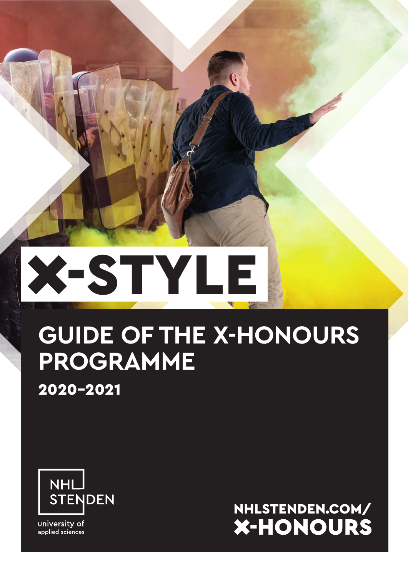# **X-STYLE**

# **GUIDE OF THE X-HONOURS PROGRAMME**

2020-2021



university of applied sciences

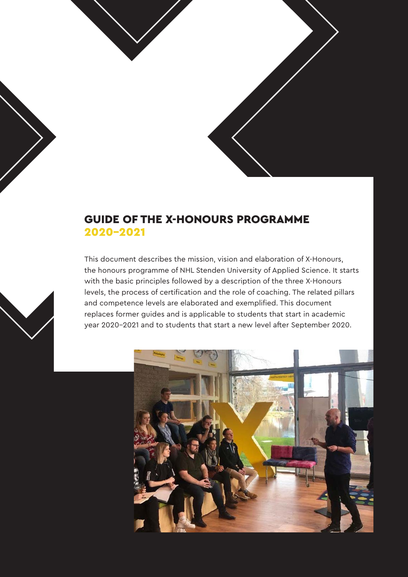

## GUIDE OF THE X-HONOURS PROGRAMME 2020-2021

This document describes the mission, vision and elaboration of X-Honours, the honours programme of NHL Stenden University of Applied Science. It starts with the basic principles followed by a description of the three X-Honours levels, the process of certification and the role of coaching. The related pillars and competence levels are elaborated and exemplified. This document replaces former guides and is applicable to students that start in academic year 2020-2021 and to students that start a new level after September 2020.



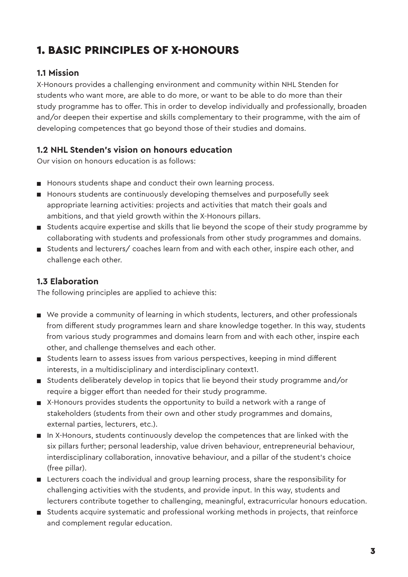# 1. BASIC PRINCIPLES OF X-HONOURS

#### **1.1 Mission**

X-Honours provides a challenging environment and community within NHL Stenden for students who want more, are able to do more, or want to be able to do more than their study programme has to offer. This in order to develop individually and professionally, broaden and/or deepen their expertise and skills complementary to their programme, with the aim of developing competences that go beyond those of their studies and domains.

#### **1.2 NHL Stenden's vision on honours education**

Our vision on honours education is as follows:

- Honours students shape and conduct their own learning process.
- **H** Honours students are continuously developing themselves and purposefully seek appropriate learning activities: projects and activities that match their goals and ambitions, and that yield growth within the X-Honours pillars.
- Students acquire expertise and skills that lie beyond the scope of their study programme by collaborating with students and professionals from other study programmes and domains.
- Students and lecturers/ coaches learn from and with each other, inspire each other, and challenge each other.

#### **1.3 Elaboration**

The following principles are applied to achieve this:

- We provide a community of learning in which students, lecturers, and other professionals from different study programmes learn and share knowledge together. In this way, students from various study programmes and domains learn from and with each other, inspire each other, and challenge themselves and each other.
- Students learn to assess issues from various perspectives, keeping in mind different interests, in a multidisciplinary and interdisciplinary context1.
- Students deliberately develop in topics that lie beyond their study programme and/or require a bigger effort than needed for their study programme.
- X-Honours provides students the opportunity to build a network with a range of stakeholders (students from their own and other study programmes and domains, external parties, lecturers, etc.).
- In X-Honours, students continuously develop the competences that are linked with the six pillars further; personal leadership, value driven behaviour, entrepreneurial behaviour, interdisciplinary collaboration, innovative behaviour, and a pillar of the student's choice (free pillar).
- **EXECT** Lecturers coach the individual and group learning process, share the responsibility for challenging activities with the students, and provide input. In this way, students and lecturers contribute together to challenging, meaningful, extracurricular honours education.
- **Students acquire systematic and professional working methods in projects, that reinforce** and complement regular education.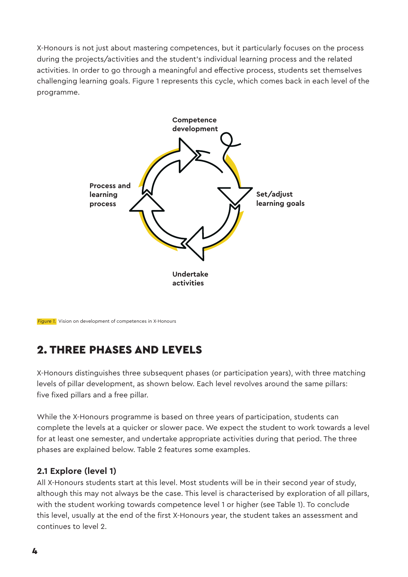X-Honours is not just about mastering competences, but it particularly focuses on the process during the projects/activities and the student's individual learning process and the related activities. In order to go through a meaningful and effective process, students set themselves challenging learning goals. Figure 1 represents this cycle, which comes back in each level of the programme.



*Figure 1.* Vision on development of competences in X-Honours

# 2. THREE PHASES AND LEVELS

X-Honours distinguishes three subsequent phases (or participation years), with three matching levels of pillar development, as shown below. Each level revolves around the same pillars: five fixed pillars and a free pillar.

While the X-Honours programme is based on three years of participation, students can complete the levels at a quicker or slower pace. We expect the student to work towards a level for at least one semester, and undertake appropriate activities during that period. The three phases are explained below. Table 2 features some examples.

#### **2.1 Explore (level 1)**

All X-Honours students start at this level. Most students will be in their second year of study, although this may not always be the case. This level is characterised by exploration of all pillars, with the student working towards competence level 1 or higher (see Table 1). To conclude this level, usually at the end of the first X-Honours year, the student takes an assessment and continues to level 2.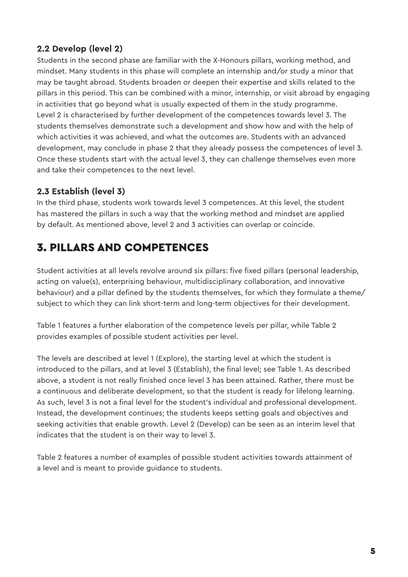#### **2.2 Develop (level 2)**

Students in the second phase are familiar with the X-Honours pillars, working method, and mindset. Many students in this phase will complete an internship and/or study a minor that may be taught abroad. Students broaden or deepen their expertise and skills related to the pillars in this period. This can be combined with a minor, internship, or visit abroad by engaging in activities that go beyond what is usually expected of them in the study programme. Level 2 is characterised by further development of the competences towards level 3. The students themselves demonstrate such a development and show how and with the help of which activities it was achieved, and what the outcomes are. Students with an advanced development, may conclude in phase 2 that they already possess the competences of level 3. Once these students start with the actual level 3, they can challenge themselves even more and take their competences to the next level.

#### **2.3 Establish (level 3)**

In the third phase, students work towards level 3 competences. At this level, the student has mastered the pillars in such a way that the working method and mindset are applied by default. As mentioned above, level 2 and 3 activities can overlap or coincide.

# 3. PILLARS AND COMPETENCES

Student activities at all levels revolve around six pillars: five fixed pillars (personal leadership, acting on value(s), enterprising behaviour, multidisciplinary collaboration, and innovative behaviour) and a pillar defined by the students themselves, for which they formulate a theme/ subject to which they can link short-term and long-term objectives for their development.

Table 1 features a further elaboration of the competence levels per pillar, while Table 2 provides examples of possible student activities per level.

The levels are described at level 1 (Explore), the starting level at which the student is introduced to the pillars, and at level 3 (Establish), the final level; see Table 1. As described above, a student is not really finished once level 3 has been attained. Rather, there must be a continuous and deliberate development, so that the student is ready for lifelong learning. As such, level 3 is not a final level for the student's individual and professional development. Instead, the development continues; the students keeps setting goals and objectives and seeking activities that enable growth. Level 2 (Develop) can be seen as an interim level that indicates that the student is on their way to level 3.

Table 2 features a number of examples of possible student activities towards attainment of a level and is meant to provide guidance to students.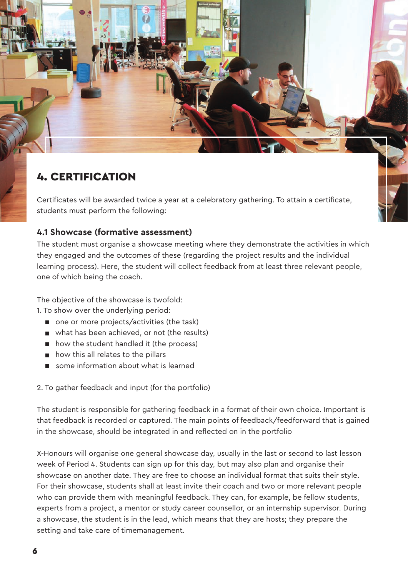# 4. CERTIFICATION

Certificates will be awarded twice a year at a celebratory gathering. To attain a certificate, students must perform the following:

#### **4.1 Showcase (formative assessment)**

The student must organise a showcase meeting where they demonstrate the activities in which they engaged and the outcomes of these (regarding the project results and the individual learning process). Here, the student will collect feedback from at least three relevant people, one of which being the coach.

The objective of the showcase is twofold:

1. To show over the underlying period:

- one or more projects/activities (the task)
- what has been achieved, or not (the results)
- how the student handled it (the process)
- **n** how this all relates to the pillars
- some information about what is learned

2. To gather feedback and input (for the portfolio)

The student is responsible for gathering feedback in a format of their own choice. Important is that feedback is recorded or captured. The main points of feedback/feedforward that is gained in the showcase, should be integrated in and reflected on in the portfolio

X-Honours will organise one general showcase day, usually in the last or second to last lesson week of Period 4. Students can sign up for this day, but may also plan and organise their showcase on another date. They are free to choose an individual format that suits their style. For their showcase, students shall at least invite their coach and two or more relevant people who can provide them with meaningful feedback. They can, for example, be fellow students, experts from a project, a mentor or study career counsellor, or an internship supervisor. During a showcase, the student is in the lead, which means that they are hosts; they prepare the setting and take care of timemanagement.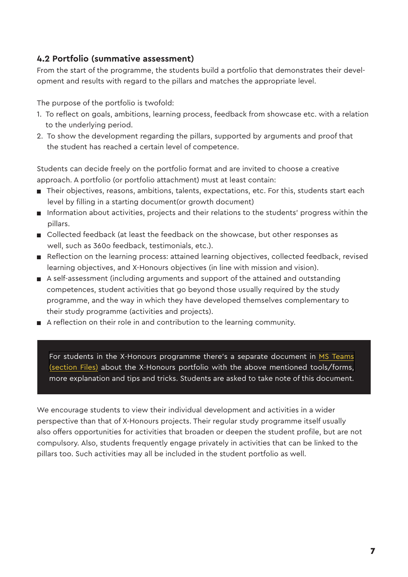#### **4.2 Portfolio (summative assessment)**

From the start of the programme, the students build a portfolio that demonstrates their development and results with regard to the pillars and matches the appropriate level.

The purpose of the portfolio is twofold:

- 1. To reflect on goals, ambitions, learning process, feedback from showcase etc. with a relation to the underlying period.
- 2. To show the development regarding the pillars, supported by arguments and proof that the student has reached a certain level of competence.

Students can decide freely on the portfolio format and are invited to choose a creative approach. A portfolio (or portfolio attachment) must at least contain:

- Their objectives, reasons, ambitions, talents, expectations, etc. For this, students start each level by filling in a starting document(or growth document)
- Information about activities, projects and their relations to the students' progress within the pillars.
- Collected feedback (at least the feedback on the showcase, but other responses as well, such as 360o feedback, testimonials, etc.).
- Reflection on the learning process: attained learning objectives, collected feedback, revised learning objectives, and X-Honours objectives (in line with mission and vision).
- A self-assessment (including arguments and support of the attained and outstanding competences, student activities that go beyond those usually required by the study programme, and the way in which they have developed themselves complementary to their study programme (activities and projects).
- A reflection on their role in and contribution to the learning community.

[For students in the X-Honours programme there's a separate document in MS Teams](https://newuniversity.sharepoint.com/:f:/s/20191030003/EliG9Wy0SzpIsPFinQLb5NkBpbNXEyiOXUmm5uzOl3Fs4A?e=wQ9Nji)  (section Files) about the X-Honours portfolio with the above mentioned tools/forms, more explanation and tips and tricks. Students are asked to take note of this document.

We encourage students to view their individual development and activities in a wider perspective than that of X-Honours projects. Their regular study programme itself usually also offers opportunities for activities that broaden or deepen the student profile, but are not compulsory. Also, students frequently engage privately in activities that can be linked to the pillars too. Such activities may all be included in the student portfolio as well.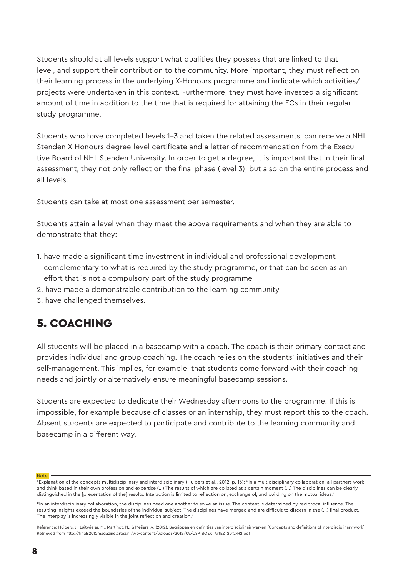Students should at all levels support what qualities they possess that are linked to that level, and support their contribution to the community. More important, they must reflect on their learning process in the underlying X-Honours programme and indicate which activities/ projects were undertaken in this context. Furthermore, they must have invested a significant amount of time in addition to the time that is required for attaining the ECs in their regular study programme.

Students who have completed levels 1-3 and taken the related assessments, can receive a NHL Stenden X-Honours degree-level certificate and a letter of recommendation from the Executive Board of NHL Stenden University. In order to get a degree, it is important that in their final assessment, they not only reflect on the final phase (level 3), but also on the entire process and all levels.

Students can take at most one assessment per semester.

Students attain a level when they meet the above requirements and when they are able to demonstrate that they:

- 1. have made a significant time investment in individual and professional development complementary to what is required by the study programme, or that can be seen as an effort that is not a compulsory part of the study programme
- 2. have made a demonstrable contribution to the learning community
- 3. have challenged themselves.

## 5. COACHING

All students will be placed in a basecamp with a coach. The coach is their primary contact and provides individual and group coaching. The coach relies on the students' initiatives and their self-management. This implies, for example, that students come forward with their coaching needs and jointly or alternatively ensure meaningful basecamp sessions.

Students are expected to dedicate their Wednesday afternoons to the programme. If this is impossible, for example because of classes or an internship, they must report this to the coach. Absent students are expected to participate and contribute to the learning community and basecamp in a different way.

**Note** 

<sup>&</sup>lt;sup>1</sup> Explanation of the concepts multidisciplinary and interdisciplinary (Huibers et al., 2012, p. 16): "In a multidisciplinary collaboration, all partners work and think based in their own profession and expertise (...) The results of which are collated at a certain moment (...) The disciplines can be clearly distinguished in the [presentation of the] results. Interaction is limited to reflection on, exchange of, and building on the mutual ideas."

<sup>&</sup>quot;In an interdisciplinary collaboration, the disciplines need one another to solve an issue. The content is determined by reciprocal influence. The resulting insights exceed the boundaries of the individual subject. The disciplines have merged and are difficult to discern in the (...) final product. The interplay is increasingly visible in the joint reflection and creation."

Reference: Huibers, J., Luitwieler, M., Martinot, N., & Meijers, A. (2012). Begrippen en definities van interdisciplinair werken [Concepts and definitions of interdisciplinary work]. Retrieved from http://finals2012magazine.artez.nl/wp-content/uploads/2012/09/CSP\_BOEK\_ArtEZ\_2012-H2.pdf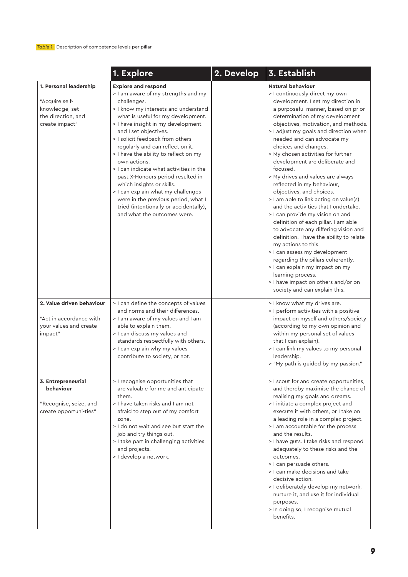|                                                                                                    | 1. Explore                                                                                                                                                                                                                                                                                                                                                                                                                                                                                                                                                                                                                        | 2. Develop | 3. Establish                                                                                                                                                                                                                                                                                                                                                                                                                                                                                                                                                                                                                                                                                                                                                                                                                                                                                                                                                                         |
|----------------------------------------------------------------------------------------------------|-----------------------------------------------------------------------------------------------------------------------------------------------------------------------------------------------------------------------------------------------------------------------------------------------------------------------------------------------------------------------------------------------------------------------------------------------------------------------------------------------------------------------------------------------------------------------------------------------------------------------------------|------------|--------------------------------------------------------------------------------------------------------------------------------------------------------------------------------------------------------------------------------------------------------------------------------------------------------------------------------------------------------------------------------------------------------------------------------------------------------------------------------------------------------------------------------------------------------------------------------------------------------------------------------------------------------------------------------------------------------------------------------------------------------------------------------------------------------------------------------------------------------------------------------------------------------------------------------------------------------------------------------------|
| 1. Personal leadership<br>"Acquire self-<br>knowledge, set<br>the direction, and<br>create impact" | <b>Explore and respond</b><br>> I am aware of my strengths and my<br>challenges.<br>> I know my interests and understand<br>what is useful for my development.<br>> I have insight in my development<br>and I set objectives.<br>> I solicit feedback from others<br>regularly and can reflect on it.<br>> I have the ability to reflect on my<br>own actions.<br>> I can indicate what activities in the<br>past X-Honours period resulted in<br>which insights or skills.<br>> I can explain what my challenges<br>were in the previous period, what I<br>tried (intentionally or accidentally),<br>and what the outcomes were. |            | <b>Natural behaviour</b><br>> I continuously direct my own<br>development. I set my direction in<br>a purposeful manner, based on prior<br>determination of my development<br>objectives, motivation, and methods.<br>> I adjust my goals and direction when<br>needed and can advocate my<br>choices and changes.<br>> My chosen activities for further<br>development are deliberate and<br>focused.<br>> My drives and values are always<br>reflected in my behaviour,<br>objectives, and choices.<br>> I am able to link acting on value(s)<br>and the activities that I undertake.<br>> I can provide my vision on and<br>definition of each pillar. I am able<br>to advocate any differing vision and<br>definition. I have the ability to relate<br>my actions to this.<br>> I can assess my development<br>regarding the pillars coherently.<br>> I can explain my impact on my<br>learning process.<br>> I have impact on others and/or on<br>society and can explain this. |
| 2. Value driven behaviour<br>"Act in accordance with<br>your values and create<br>impact"          | > I can define the concepts of values<br>and norms and their differences.<br>> I am aware of my values and I am<br>able to explain them.<br>> I can discuss my values and<br>standards respectfully with others.<br>> I can explain why my values<br>contribute to society, or not.                                                                                                                                                                                                                                                                                                                                               |            | > I know what my drives are.<br>> I perform activities with a positive<br>impact on myself and others/society<br>(according to my own opinion and<br>within my personal set of values<br>that I can explain).<br>> I can link my values to my personal<br>leadership.<br>> "My path is guided by my passion."                                                                                                                                                                                                                                                                                                                                                                                                                                                                                                                                                                                                                                                                        |
| 3. Entrepreneurial<br>behaviour<br>"Recognise, seize, and<br>create opportuni-ties"                | > I recognise opportunities that<br>are valuable for me and anticipate<br>them.<br>> I have taken risks and I am not<br>afraid to step out of my comfort<br>zone.<br>> I do not wait and see but start the<br>job and try things out.<br>> I take part in challenging activities<br>and projects.<br>> I develop a network.                                                                                                                                                                                                                                                                                                       |            | > I scout for and create opportunities,<br>and thereby maximise the chance of<br>realising my goals and dreams.<br>> I initiate a complex project and<br>execute it with others, or I take on<br>a leading role in a complex project.<br>> I am accountable for the process<br>and the results.<br>> I have guts. I take risks and respond<br>adequately to these risks and the<br>outcomes.<br>> I can persuade others.<br>> I can make decisions and take<br>decisive action.<br>> I deliberately develop my network,<br>nurture it, and use it for individual<br>purposes.<br>> In doing so, I recognise mutual<br>benefits.                                                                                                                                                                                                                                                                                                                                                      |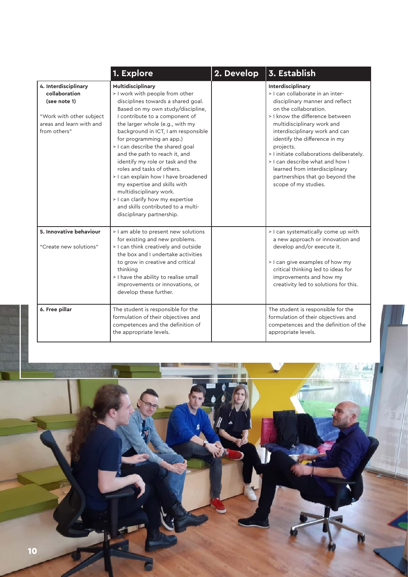|                                                                                                                               | 1. Explore                                                                                                                                                                                                                                                                                                                                                                                                                                                                                                                                                                                                               | 2. Develop | $\vert$ 3. Establish                                                                                                                                                                                                                                                                                                                                                                                                                            |
|-------------------------------------------------------------------------------------------------------------------------------|--------------------------------------------------------------------------------------------------------------------------------------------------------------------------------------------------------------------------------------------------------------------------------------------------------------------------------------------------------------------------------------------------------------------------------------------------------------------------------------------------------------------------------------------------------------------------------------------------------------------------|------------|-------------------------------------------------------------------------------------------------------------------------------------------------------------------------------------------------------------------------------------------------------------------------------------------------------------------------------------------------------------------------------------------------------------------------------------------------|
| 4. Interdisciplinary<br>collaboration<br>(see note 1)<br>"Work with other subject<br>areas and learn with and<br>from others" | Multidisciplinary<br>> I work with people from other<br>disciplines towards a shared goal.<br>Based on my own study/discipline,<br>I contribute to a component of<br>the larger whole (e.g., with my<br>background in ICT, I am responsible<br>for programming an app.)<br>> I can describe the shared goal<br>and the path to reach it, and<br>identify my role or task and the<br>roles and tasks of others.<br>> I can explain how I have broadened<br>my expertise and skills with<br>multidisciplinary work.<br>> I can clarify how my expertise<br>and skills contributed to a multi-<br>disciplinary partnership. |            | Interdisciplinary<br>> I can collaborate in an inter-<br>disciplinary manner and reflect<br>on the collaboration.<br>> I know the difference between<br>multidisciplinary work and<br>interdisciplinary work and can<br>identify the difference in my<br>projects.<br>> I initiate collaborations deliberately.<br>> I can describe what and how I<br>learned from interdisciplinary<br>partnerships that go beyond the<br>scope of my studies. |
| 5. Innovative behaviour<br>"Create new solutions"                                                                             | > I am able to present new solutions<br>for existing and new problems.<br>> I can think creatively and outside<br>the box and I undertake activities<br>to grow in creative and critical<br>thinking<br>> I have the ability to realise small<br>improvements or innovations, or<br>develop these further.                                                                                                                                                                                                                                                                                                               |            | > I can systematically come up with<br>a new approach or innovation and<br>develop and/or execute it.<br>> I can give examples of how my<br>critical thinking led to ideas for<br>improvements and how my<br>creativity led to solutions for this.                                                                                                                                                                                              |
| 6. Free pillar                                                                                                                | The student is responsible for the<br>formulation of their objectives and<br>competences and the definition of<br>the appropriate levels.                                                                                                                                                                                                                                                                                                                                                                                                                                                                                |            | The student is responsible for the<br>formulation of their objectives and<br>competences and the definition of the<br>appropriate levels.                                                                                                                                                                                                                                                                                                       |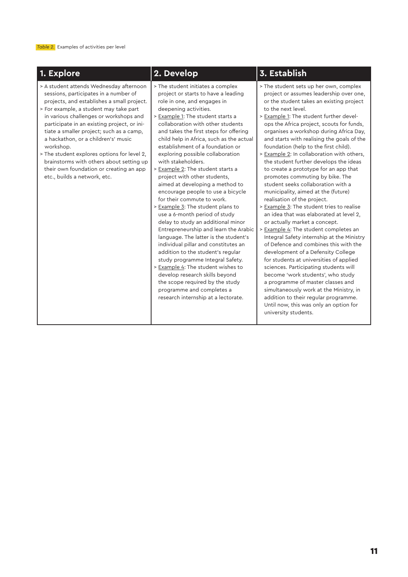| 1. Explore                                                                                                                                                                                                                                                                                                                                                                                                                                                                                                                              | 2. Develop                                                                                                                                                                                                                                                                                                                                                                                                                                                                                                                                                                                                                                                                                                                                                                                                                                                                                                                                                                                                                                                              | 3. Establish                                                                                                                                                                                                                                                                                                                                                                                                                                                                                                                                                                                                                                                                                                                                                                                                                                                                                                                                                                                                                                                                                                                                                                                                                                                                    |
|-----------------------------------------------------------------------------------------------------------------------------------------------------------------------------------------------------------------------------------------------------------------------------------------------------------------------------------------------------------------------------------------------------------------------------------------------------------------------------------------------------------------------------------------|-------------------------------------------------------------------------------------------------------------------------------------------------------------------------------------------------------------------------------------------------------------------------------------------------------------------------------------------------------------------------------------------------------------------------------------------------------------------------------------------------------------------------------------------------------------------------------------------------------------------------------------------------------------------------------------------------------------------------------------------------------------------------------------------------------------------------------------------------------------------------------------------------------------------------------------------------------------------------------------------------------------------------------------------------------------------------|---------------------------------------------------------------------------------------------------------------------------------------------------------------------------------------------------------------------------------------------------------------------------------------------------------------------------------------------------------------------------------------------------------------------------------------------------------------------------------------------------------------------------------------------------------------------------------------------------------------------------------------------------------------------------------------------------------------------------------------------------------------------------------------------------------------------------------------------------------------------------------------------------------------------------------------------------------------------------------------------------------------------------------------------------------------------------------------------------------------------------------------------------------------------------------------------------------------------------------------------------------------------------------|
| > A student attends Wednesday afternoon<br>sessions, participates in a number of<br>projects, and establishes a small project.<br>> For example, a student may take part<br>in various challenges or workshops and<br>participate in an existing project, or ini-<br>tiate a smaller project; such as a camp,<br>a hackathon, or a children's' music<br>workshop.<br>> The student explores options for level 2,<br>brainstorms with others about setting up<br>their own foundation or creating an app<br>etc., builds a network, etc. | > The student initiates a complex<br>project or starts to have a leading<br>role in one, and engages in<br>deepening activities.<br>> Example 1: The student starts a<br>collaboration with other students<br>and takes the first steps for offering<br>child help in Africa, such as the actual<br>establishment of a foundation or<br>exploring possible collaboration<br>with stakeholders.<br>> Example 2: The student starts a<br>project with other students,<br>aimed at developing a method to<br>encourage people to use a bicycle<br>for their commute to work.<br>> Example 3: The student plans to<br>use a 6-month period of study<br>delay to study an additional minor<br>Entrepreneurship and learn the Arabic<br>language. The latter is the student's<br>individual pillar and constitutes an<br>addition to the student's regular<br>study programme Integral Safety.<br>> Example 4: The student wishes to<br>develop research skills beyond<br>the scope required by the study<br>programme and completes a<br>research internship at a lectorate. | > The student sets up her own, complex<br>project or assumes leadership over one,<br>or the student takes an existing project<br>to the next level.<br>> Example 1: The student further devel-<br>ops the Africa project, scouts for funds,<br>organises a workshop during Africa Day,<br>and starts with realising the goals of the<br>foundation (help to the first child).<br>> Example 2: In collaboration with others,<br>the student further develops the ideas<br>to create a prototype for an app that<br>promotes commuting by bike. The<br>student seeks collaboration with a<br>municipality, aimed at the (future)<br>realisation of the project.<br>> Example 3: The student tries to realise<br>an idea that was elaborated at level 2,<br>or actually market a concept.<br>> Example 4: The student completes an<br>Integral Safety internship at the Ministry<br>of Defence and combines this with the<br>development of a Defensity College<br>for students at universities of applied<br>sciences. Participating students will<br>become 'work students', who study<br>a programme of master classes and<br>simultaneously work at the Ministry, in<br>addition to their regular programme.<br>Until now, this was only an option for<br>university students. |